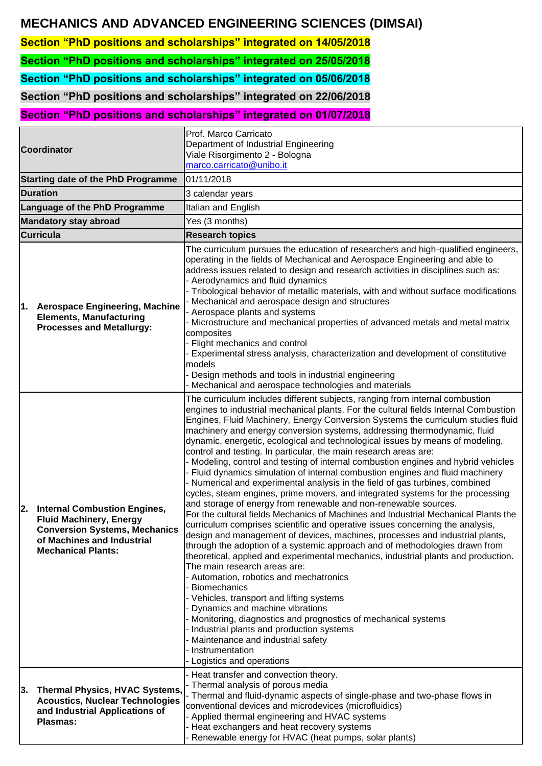# **MECHANICS AND ADVANCED ENGINEERING SCIENCES (DIMSAI)**

**Section "PhD positions and scholarships" integrated on 14/05/2018**

**Section "PhD positions and scholarships" integrated on 25/05/2018**

**Section "PhD positions and scholarships" integrated on 05/06/2018**

**Section "PhD positions and scholarships" integrated on 22/06/2018**

**Section "PhD positions and scholarships" integrated on 01/07/2018**

| <b>Coordinator</b>                        |                                                                                                                                                                          | Prof. Marco Carricato<br>Department of Industrial Engineering<br>Viale Risorgimento 2 - Bologna<br>marco.carricato@unibo.it                                                                                                                                                                                                                                                                                                                                                                                                                                                                                                                                                                                                                                                                                                                                                                                                                                                                                                                                                                                                                                                                                                                                                                                                                                                                                                                                                                                                                                                                                                                                                                                       |  |  |
|-------------------------------------------|--------------------------------------------------------------------------------------------------------------------------------------------------------------------------|-------------------------------------------------------------------------------------------------------------------------------------------------------------------------------------------------------------------------------------------------------------------------------------------------------------------------------------------------------------------------------------------------------------------------------------------------------------------------------------------------------------------------------------------------------------------------------------------------------------------------------------------------------------------------------------------------------------------------------------------------------------------------------------------------------------------------------------------------------------------------------------------------------------------------------------------------------------------------------------------------------------------------------------------------------------------------------------------------------------------------------------------------------------------------------------------------------------------------------------------------------------------------------------------------------------------------------------------------------------------------------------------------------------------------------------------------------------------------------------------------------------------------------------------------------------------------------------------------------------------------------------------------------------------------------------------------------------------|--|--|
| <b>Starting date of the PhD Programme</b> |                                                                                                                                                                          | 01/11/2018                                                                                                                                                                                                                                                                                                                                                                                                                                                                                                                                                                                                                                                                                                                                                                                                                                                                                                                                                                                                                                                                                                                                                                                                                                                                                                                                                                                                                                                                                                                                                                                                                                                                                                        |  |  |
| <b>Duration</b>                           |                                                                                                                                                                          | 3 calendar years                                                                                                                                                                                                                                                                                                                                                                                                                                                                                                                                                                                                                                                                                                                                                                                                                                                                                                                                                                                                                                                                                                                                                                                                                                                                                                                                                                                                                                                                                                                                                                                                                                                                                                  |  |  |
| Language of the PhD Programme             |                                                                                                                                                                          | Italian and English                                                                                                                                                                                                                                                                                                                                                                                                                                                                                                                                                                                                                                                                                                                                                                                                                                                                                                                                                                                                                                                                                                                                                                                                                                                                                                                                                                                                                                                                                                                                                                                                                                                                                               |  |  |
| <b>Mandatory stay abroad</b>              |                                                                                                                                                                          | Yes (3 months)                                                                                                                                                                                                                                                                                                                                                                                                                                                                                                                                                                                                                                                                                                                                                                                                                                                                                                                                                                                                                                                                                                                                                                                                                                                                                                                                                                                                                                                                                                                                                                                                                                                                                                    |  |  |
|                                           | <b>Curricula</b>                                                                                                                                                         | <b>Research topics</b>                                                                                                                                                                                                                                                                                                                                                                                                                                                                                                                                                                                                                                                                                                                                                                                                                                                                                                                                                                                                                                                                                                                                                                                                                                                                                                                                                                                                                                                                                                                                                                                                                                                                                            |  |  |
| 1.                                        | <b>Aerospace Engineering, Machine</b><br><b>Elements, Manufacturing</b><br><b>Processes and Metallurgy:</b>                                                              | The curriculum pursues the education of researchers and high-qualified engineers,<br>operating in the fields of Mechanical and Aerospace Engineering and able to<br>address issues related to design and research activities in disciplines such as:<br>- Aerodynamics and fluid dynamics<br>- Tribological behavior of metallic materials, with and without surface modifications<br>Mechanical and aerospace design and structures<br>Aerospace plants and systems<br>Microstructure and mechanical properties of advanced metals and metal matrix<br>composites<br>Flight mechanics and control<br>Experimental stress analysis, characterization and development of constitutive<br>models<br>Design methods and tools in industrial engineering<br>Mechanical and aerospace technologies and materials                                                                                                                                                                                                                                                                                                                                                                                                                                                                                                                                                                                                                                                                                                                                                                                                                                                                                                       |  |  |
| 2.                                        | <b>Internal Combustion Engines,</b><br><b>Fluid Machinery, Energy</b><br><b>Conversion Systems, Mechanics</b><br>of Machines and Industrial<br><b>Mechanical Plants:</b> | The curriculum includes different subjects, ranging from internal combustion<br>engines to industrial mechanical plants. For the cultural fields Internal Combustion<br>Engines, Fluid Machinery, Energy Conversion Systems the curriculum studies fluid<br>machinery and energy conversion systems, addressing thermodynamic, fluid<br>dynamic, energetic, ecological and technological issues by means of modeling,<br>control and testing. In particular, the main research areas are:<br>Modeling, control and testing of internal combustion engines and hybrid vehicles<br>Fluid dynamics simulation of internal combustion engines and fluid machinery<br>- Numerical and experimental analysis in the field of gas turbines, combined<br>cycles, steam engines, prime movers, and integrated systems for the processing<br>and storage of energy from renewable and non-renewable sources.<br>For the cultural fields Mechanics of Machines and Industrial Mechanical Plants the<br>curriculum comprises scientific and operative issues concerning the analysis,<br>design and management of devices, machines, processes and industrial plants,<br>through the adoption of a systemic approach and of methodologies drawn from<br>theoretical, applied and experimental mechanics, industrial plants and production.<br>The main research areas are:<br>- Automation, robotics and mechatronics<br><b>Biomechanics</b><br>- Vehicles, transport and lifting systems<br>Dynamics and machine vibrations<br>Monitoring, diagnostics and prognostics of mechanical systems<br>Industrial plants and production systems<br>Maintenance and industrial safety<br>Instrumentation<br>Logistics and operations |  |  |
| 3.                                        | <b>Thermal Physics, HVAC Systems,</b><br><b>Acoustics, Nuclear Technologies</b><br>and Industrial Applications of<br><b>Plasmas:</b>                                     | - Heat transfer and convection theory.<br>Thermal analysis of porous media<br>- Thermal and fluid-dynamic aspects of single-phase and two-phase flows in<br>conventional devices and microdevices (microfluidics)<br>- Applied thermal engineering and HVAC systems<br>Heat exchangers and heat recovery systems<br>Renewable energy for HVAC (heat pumps, solar plants)                                                                                                                                                                                                                                                                                                                                                                                                                                                                                                                                                                                                                                                                                                                                                                                                                                                                                                                                                                                                                                                                                                                                                                                                                                                                                                                                          |  |  |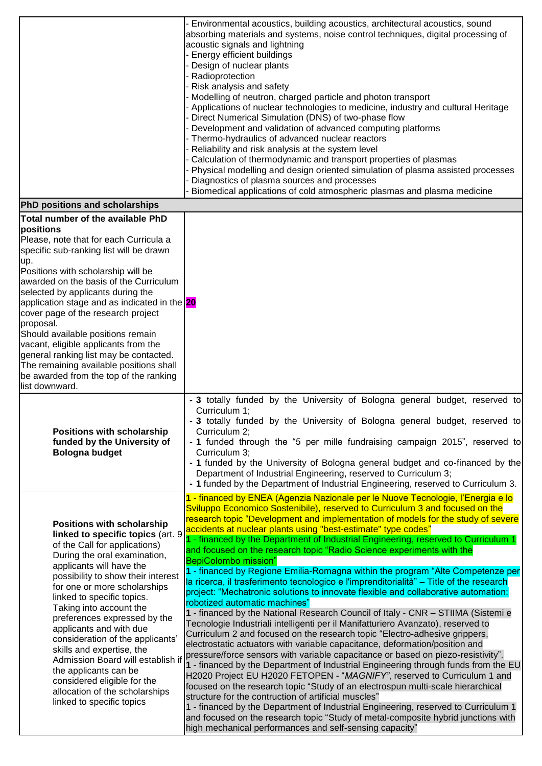|                                                                                                                                                                                                                                                                                                                                                                                                                                                                                                                                                                                                  | Environmental acoustics, building acoustics, architectural acoustics, sound<br>absorbing materials and systems, noise control techniques, digital processing of<br>acoustic signals and lightning<br>Energy efficient buildings<br>Design of nuclear plants<br>Radioprotection<br>Risk analysis and safety<br>Modelling of neutron, charged particle and photon transport<br>Applications of nuclear technologies to medicine, industry and cultural Heritage<br>Direct Numerical Simulation (DNS) of two-phase flow<br>Development and validation of advanced computing platforms<br>Thermo-hydraulics of advanced nuclear reactors<br>Reliability and risk analysis at the system level<br>Calculation of thermodynamic and transport properties of plasmas<br>Physical modelling and design oriented simulation of plasma assisted processes<br>Diagnostics of plasma sources and processes<br>Biomedical applications of cold atmospheric plasmas and plasma medicine                                                                                                                                                                                                                                                                                                                                                                                                                                                                                                                                                                                                                                                                                                                                                                                                                          |
|--------------------------------------------------------------------------------------------------------------------------------------------------------------------------------------------------------------------------------------------------------------------------------------------------------------------------------------------------------------------------------------------------------------------------------------------------------------------------------------------------------------------------------------------------------------------------------------------------|----------------------------------------------------------------------------------------------------------------------------------------------------------------------------------------------------------------------------------------------------------------------------------------------------------------------------------------------------------------------------------------------------------------------------------------------------------------------------------------------------------------------------------------------------------------------------------------------------------------------------------------------------------------------------------------------------------------------------------------------------------------------------------------------------------------------------------------------------------------------------------------------------------------------------------------------------------------------------------------------------------------------------------------------------------------------------------------------------------------------------------------------------------------------------------------------------------------------------------------------------------------------------------------------------------------------------------------------------------------------------------------------------------------------------------------------------------------------------------------------------------------------------------------------------------------------------------------------------------------------------------------------------------------------------------------------------------------------------------------------------------------------------------------------------|
| PhD positions and scholarships                                                                                                                                                                                                                                                                                                                                                                                                                                                                                                                                                                   |                                                                                                                                                                                                                                                                                                                                                                                                                                                                                                                                                                                                                                                                                                                                                                                                                                                                                                                                                                                                                                                                                                                                                                                                                                                                                                                                                                                                                                                                                                                                                                                                                                                                                                                                                                                                    |
| Total number of the available PhD<br>positions<br>Please, note that for each Curricula a<br>specific sub-ranking list will be drawn<br>up.<br>Positions with scholarship will be<br>awarded on the basis of the Curriculum<br>selected by applicants during the<br>application stage and as indicated in the 20<br>cover page of the research project<br>proposal.<br>Should available positions remain<br>vacant, eligible applicants from the<br>general ranking list may be contacted.<br>The remaining available positions shall<br>be awarded from the top of the ranking<br>list downward. |                                                                                                                                                                                                                                                                                                                                                                                                                                                                                                                                                                                                                                                                                                                                                                                                                                                                                                                                                                                                                                                                                                                                                                                                                                                                                                                                                                                                                                                                                                                                                                                                                                                                                                                                                                                                    |
| <b>Positions with scholarship</b><br>funded by the University of<br><b>Bologna budget</b>                                                                                                                                                                                                                                                                                                                                                                                                                                                                                                        | - 3 totally funded by the University of Bologna general budget, reserved to<br>Curriculum 1;<br>- 3 totally funded by the University of Bologna general budget, reserved to<br>Curriculum 2;<br>- 1 funded through the "5 per mille fundraising campaign 2015", reserved to<br>Curriculum 3;<br>- 1 funded by the University of Bologna general budget and co-financed by the<br>Department of Industrial Engineering, reserved to Curriculum 3;<br>- 1 funded by the Department of Industrial Engineering, reserved to Curriculum 3.                                                                                                                                                                                                                                                                                                                                                                                                                                                                                                                                                                                                                                                                                                                                                                                                                                                                                                                                                                                                                                                                                                                                                                                                                                                              |
| <b>Positions with scholarship</b><br>linked to specific topics (art. 9<br>of the Call for applications)<br>During the oral examination,<br>applicants will have the<br>possibility to show their interest<br>for one or more scholarships<br>linked to specific topics.<br>Taking into account the<br>preferences expressed by the<br>applicants and with due<br>consideration of the applicants'<br>skills and expertise, the<br>Admission Board will establish if<br>the applicants can be<br>considered eligible for the<br>allocation of the scholarships<br>linked to specific topics       | 1 - financed by ENEA (Agenzia Nazionale per le Nuove Tecnologie, l'Energia e lo<br>Sviluppo Economico Sostenibile), reserved to Curriculum 3 and focused on the<br>research topic "Development and implementation of models for the study of severe<br>accidents at nuclear plants using "best-estimate" type codes"<br>1 - financed by the Department of Industrial Engineering, reserved to Curriculum 1<br>and focused on the research topic "Radio Science experiments with the<br><b>BepiColombo mission"</b><br>1 - financed by Regione Emilia-Romagna within the program "Alte Competenze per<br>la ricerca, il trasferimento tecnologico e l'imprenditorialità" – Title of the research<br>project: "Mechatronic solutions to innovate flexible and collaborative automation:<br>robotized automatic machines"<br>1 - financed by the National Research Council of Italy - CNR - STIIMA (Sistemi e<br>Tecnologie Industriali intelligenti per il Manifatturiero Avanzato), reserved to<br>Curriculum 2 and focused on the research topic "Electro-adhesive grippers,<br>electrostatic actuators with variable capacitance, deformation/position and<br>pressure/force sensors with variable capacitance or based on piezo-resistivity".<br>1 - financed by the Department of Industrial Engineering through funds from the EU<br>H2020 Project EU H2020 FETOPEN - "MAGNIFY", reserved to Curriculum 1 and<br>focused on the research topic "Study of an electrospun multi-scale hierarchical<br>structure for the contruction of artificial muscles"<br>1 - financed by the Department of Industrial Engineering, reserved to Curriculum 1<br>and focused on the research topic "Study of metal-composite hybrid junctions with<br>high mechanical performances and self-sensing capacity" |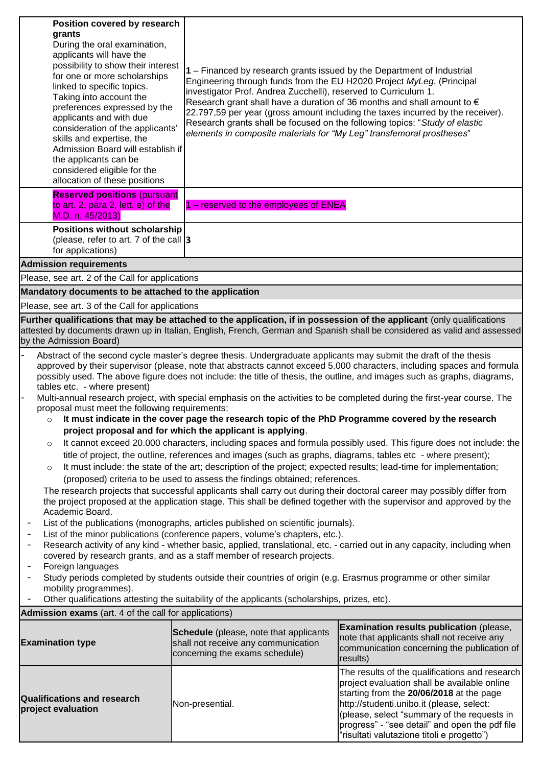| Position covered by research<br>grants<br>During the oral examination,<br>applicants will have the<br>possibility to show their interest<br>for one or more scholarships<br>linked to specific topics.<br>Taking into account the<br>preferences expressed by the<br>applicants and with due<br>consideration of the applicants'<br>skills and expertise, the<br>Admission Board will establish if<br>the applicants can be<br>considered eligible for the<br>allocation of these positions                                                                                                                                                                                                                                                                                                                                                         |                                                                                                                 | 1 – Financed by research grants issued by the Department of Industrial<br>Engineering through funds from the EU H2020 Project MyLeg, (Principal<br>investigator Prof. Andrea Zucchelli), reserved to Curriculum 1.<br>Research grant shall have a duration of 36 months and shall amount to $\epsilon$<br>22.797,59 per year (gross amount including the taxes incurred by the receiver).<br>Research grants shall be focused on the following topics: "Study of elastic<br>elements in composite materials for "My Leg" transfemoral prostheses" |  |  |  |  |  |
|-----------------------------------------------------------------------------------------------------------------------------------------------------------------------------------------------------------------------------------------------------------------------------------------------------------------------------------------------------------------------------------------------------------------------------------------------------------------------------------------------------------------------------------------------------------------------------------------------------------------------------------------------------------------------------------------------------------------------------------------------------------------------------------------------------------------------------------------------------|-----------------------------------------------------------------------------------------------------------------|---------------------------------------------------------------------------------------------------------------------------------------------------------------------------------------------------------------------------------------------------------------------------------------------------------------------------------------------------------------------------------------------------------------------------------------------------------------------------------------------------------------------------------------------------|--|--|--|--|--|
| <b>Reserved positions (pursuant</b><br>to art. 2, para 2, lett. e) of the<br>M.D. n. 45/2013)<br>Positions without scholarship                                                                                                                                                                                                                                                                                                                                                                                                                                                                                                                                                                                                                                                                                                                      | 1 – reserved to the employees of ENEA                                                                           |                                                                                                                                                                                                                                                                                                                                                                                                                                                                                                                                                   |  |  |  |  |  |
| (please, refer to art. 7 of the call 3<br>for applications)                                                                                                                                                                                                                                                                                                                                                                                                                                                                                                                                                                                                                                                                                                                                                                                         |                                                                                                                 |                                                                                                                                                                                                                                                                                                                                                                                                                                                                                                                                                   |  |  |  |  |  |
| <b>Admission requirements</b>                                                                                                                                                                                                                                                                                                                                                                                                                                                                                                                                                                                                                                                                                                                                                                                                                       |                                                                                                                 |                                                                                                                                                                                                                                                                                                                                                                                                                                                                                                                                                   |  |  |  |  |  |
| Please, see art. 2 of the Call for applications                                                                                                                                                                                                                                                                                                                                                                                                                                                                                                                                                                                                                                                                                                                                                                                                     |                                                                                                                 |                                                                                                                                                                                                                                                                                                                                                                                                                                                                                                                                                   |  |  |  |  |  |
| Mandatory documents to be attached to the application                                                                                                                                                                                                                                                                                                                                                                                                                                                                                                                                                                                                                                                                                                                                                                                               |                                                                                                                 |                                                                                                                                                                                                                                                                                                                                                                                                                                                                                                                                                   |  |  |  |  |  |
| Please, see art. 3 of the Call for applications                                                                                                                                                                                                                                                                                                                                                                                                                                                                                                                                                                                                                                                                                                                                                                                                     |                                                                                                                 |                                                                                                                                                                                                                                                                                                                                                                                                                                                                                                                                                   |  |  |  |  |  |
| Further qualifications that may be attached to the application, if in possession of the applicant (only qualifications<br>attested by documents drawn up in Italian, English, French, German and Spanish shall be considered as valid and assessed<br>by the Admission Board)                                                                                                                                                                                                                                                                                                                                                                                                                                                                                                                                                                       |                                                                                                                 |                                                                                                                                                                                                                                                                                                                                                                                                                                                                                                                                                   |  |  |  |  |  |
| Abstract of the second cycle master's degree thesis. Undergraduate applicants may submit the draft of the thesis<br>approved by their supervisor (please, note that abstracts cannot exceed 5.000 characters, including spaces and formula<br>possibly used. The above figure does not include: the title of thesis, the outline, and images such as graphs, diagrams,<br>tables etc. - where present)<br>Multi-annual research project, with special emphasis on the activities to be completed during the first-year course. The<br>$\overline{a}$<br>proposal must meet the following requirements:<br>It must indicate in the cover page the research topic of the PhD Programme covered by the research<br>$\circ$<br>project proposal and for which the applicant is applying.                                                                |                                                                                                                 |                                                                                                                                                                                                                                                                                                                                                                                                                                                                                                                                                   |  |  |  |  |  |
| It cannot exceed 20.000 characters, including spaces and formula possibly used. This figure does not include: the<br>$\circ$<br>title of project, the outline, references and images (such as graphs, diagrams, tables etc - where present);<br>It must include: the state of the art; description of the project; expected results; lead-time for implementation;<br>$\circ$<br>(proposed) criteria to be used to assess the findings obtained; references.<br>The research projects that successful applicants shall carry out during their doctoral career may possibly differ from<br>the project proposed at the application stage. This shall be defined together with the supervisor and approved by the<br>Academic Board.<br>List of the publications (monographs, articles published on scientific journals).<br>$\overline{\phantom{0}}$ |                                                                                                                 |                                                                                                                                                                                                                                                                                                                                                                                                                                                                                                                                                   |  |  |  |  |  |
| List of the minor publications (conference papers, volume's chapters, etc.).<br>$\overline{\phantom{a}}$<br>Research activity of any kind - whether basic, applied, translational, etc. - carried out in any capacity, including when<br>$\overline{\phantom{a}}$<br>covered by research grants, and as a staff member of research projects.<br>Foreign languages<br>$\overline{\phantom{a}}$<br>Study periods completed by students outside their countries of origin (e.g. Erasmus programme or other similar<br>$\overline{a}$<br>mobility programmes).                                                                                                                                                                                                                                                                                          |                                                                                                                 |                                                                                                                                                                                                                                                                                                                                                                                                                                                                                                                                                   |  |  |  |  |  |
|                                                                                                                                                                                                                                                                                                                                                                                                                                                                                                                                                                                                                                                                                                                                                                                                                                                     | Other qualifications attesting the suitability of the applicants (scholarships, prizes, etc).                   |                                                                                                                                                                                                                                                                                                                                                                                                                                                                                                                                                   |  |  |  |  |  |
| <b>Admission exams</b> (art. 4 of the call for applications)                                                                                                                                                                                                                                                                                                                                                                                                                                                                                                                                                                                                                                                                                                                                                                                        |                                                                                                                 |                                                                                                                                                                                                                                                                                                                                                                                                                                                                                                                                                   |  |  |  |  |  |
| <b>Examination type</b>                                                                                                                                                                                                                                                                                                                                                                                                                                                                                                                                                                                                                                                                                                                                                                                                                             | Schedule (please, note that applicants<br>shall not receive any communication<br>concerning the exams schedule) | <b>Examination results publication (please,</b><br>note that applicants shall not receive any<br>communication concerning the publication of<br>results)                                                                                                                                                                                                                                                                                                                                                                                          |  |  |  |  |  |
| <b>Qualifications and research</b><br>project evaluation                                                                                                                                                                                                                                                                                                                                                                                                                                                                                                                                                                                                                                                                                                                                                                                            | Non-presential.                                                                                                 | The results of the qualifications and research<br>project evaluation shall be available online<br>starting from the 20/06/2018 at the page<br>http://studenti.unibo.it (please, select:<br>(please, select "summary of the requests in<br>progress" - "see detail" and open the pdf file<br>'risultati valutazione titoli e progetto")                                                                                                                                                                                                            |  |  |  |  |  |